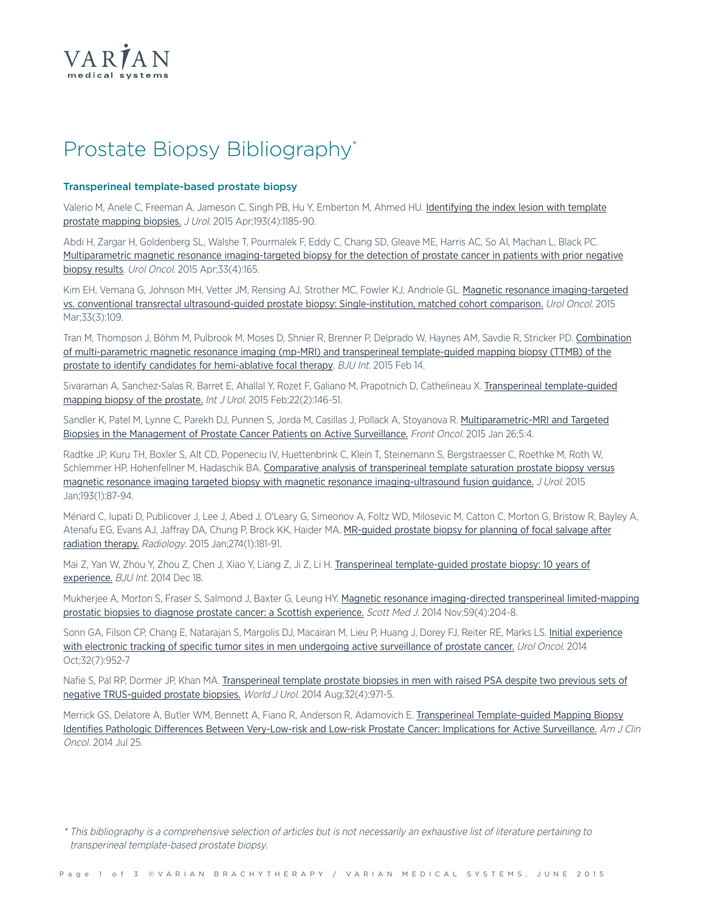

# Prostate Biopsy Bibliography\*

### **Transperineal template-based prostate biopsy**

Valerio M, Anele C, Freeman A, Jameson C, Singh PB, Hu Y, Emberton M, Ahmed HU. [Identifying](http://www.ncbi.nlm.nih.gov/pubmed/25463987) the index lesion with template prostate [mapping](http://www.ncbi.nlm.nih.gov/pubmed/25463987) biopsies. J Urol. 2015 Apr;193(4):1185-90.

Abdi H, Zargar H, Goldenberg SL, Walshe T, Pourmalek F, Eddy C, Chang SD, Gleave ME, Harris AC, So AI, Machan L, Black PC. Multiparametric magnetic resonance [imaging-targeted](http://www.ncbi.nlm.nih.gov/pubmed/25665509) biopsy for the detection of prostate cancer in patients with prior negative [biopsy](http://www.ncbi.nlm.nih.gov/pubmed/25665509) results. Urol Oncol. 2015 Apr;33(4):165.

Kim EH, Vemana G, Johnson MH, Vetter JM, Rensing AJ, Strother MC, Fowler KJ, Andriole GL. Magnetic resonance [imaging-targeted](http://www.ncbi.nlm.nih.gov/pubmed/25655682) vs. conventional transrectal [ultrasound-guided](http://www.ncbi.nlm.nih.gov/pubmed/25655682) prostate biopsy: Single-institution, matched cohort comparison. Urol Oncol. 2015 Mar;33(3):109.

Tran M, Thompson J, Böhm M, Pulbrook M, Moses D, Shnier R, Brenner P, Delprado W, Haynes AM, Savdie R, Stricker PD. [Combination](http://www.ncbi.nlm.nih.gov/pubmed/25682968) of [multi-parametric](http://www.ncbi.nlm.nih.gov/pubmed/25682968) magnetic resonance imaging (mp-MRI) and transperineal template-guided mapping biopsy (TTMB) of the prostate to identify candidates for [hemi-ablative](http://www.ncbi.nlm.nih.gov/pubmed/25682968) focal therapy. BJU Int. 2015 Feb 14.

Sivaraman A, Sanchez-Salas R, Barret E, Ahallal Y, Rozet F, Galiano M, Prapotnich D, Cathelineau X. Transperineal [template-guided](http://www.ncbi.nlm.nih.gov/pubmed/25421717) [mapping](http://www.ncbi.nlm.nih.gov/pubmed/25421717) biopsy of the prostate. Int J Urol. 2015 Feb; 22(2): 146-51.

Sandler K, Patel M, Lynne C, Parekh DJ, Punnen S, Jorda M, Casillas J, Pollack A, Stoyanova R. [Multiparametric-MRI](http://www.ncbi.nlm.nih.gov/pubmed/25674540) and Targeted Biopsies in the [Management](http://www.ncbi.nlm.nih.gov/pubmed/25674540) of Prostate Cancer Patients on Active Surveillance. Front Oncol. 2015 Jan 26;5:4.

Radtke JP, Kuru TH, Boxler S, Alt CD, Popeneciu IV, Huettenbrink C, Klein T, Steinemann S, Bergstraesser C, Roethke M, Roth W, Schlemmer HP, Hohenfellner M, Hadaschik BA. Comparative analysis of [transperineal](http://www.ncbi.nlm.nih.gov/pubmed/25079939) template saturation prostate biopsy versus magnetic resonance imaging targeted biopsy with magnetic resonance [imaging-ultrasound](http://www.ncbi.nlm.nih.gov/pubmed/25079939) fusion guidance. J Urol. 2015 Jan;193(1):87-94.

Ménard C, Iupati D, Publicover J, Lee J, Abed J, O'Leary G, Simeonov A, Foltz WD, Milosevic M, Catton C, Morton G, Bristow R, Bayley A, Atenafu EG, Evans AJ, Jaffray DA, Chung P, Brock KK, Haider MA. [MR-guided](http://www.ncbi.nlm.nih.gov/pubmed/25203127) prostate biopsy for planning of focal salvage after [radiation](http://www.ncbi.nlm.nih.gov/pubmed/25203127) therapy. Radiology. 2015 Jan;274(1):181-91.

Mai Z, Yan W, Zhou Y, Zhou Z, Chen J, Xiao Y, Liang Z, Ji Z, Li H. Transperineal [template-guided](http://www.ncbi.nlm.nih.gov/pubmed/25523314) prostate biopsy: 10 years of [experience.](http://www.ncbi.nlm.nih.gov/pubmed/25523314) BJU Int. 2014 Dec 18.

Mukherjee A, Morton S, Fraser S, Salmond J, Baxter G, Leung HY. Magnetic resonance [imaging-directed](http://www.ncbi.nlm.nih.gov/pubmed/25314954) transperineal limited-mapping prostatic biopsies to diagnose prostate cancer: a Scottish [experience.](http://www.ncbi.nlm.nih.gov/pubmed/25314954) Scott Med J. 2014 Nov;59(4):204-8.

Sonn GA, Filson CP, Chang E, Natarajan S, Margolis DJ, Macairan M, Lieu P, Huang J, Dorey FJ, Reiter RE, Marks LS. Initial [experience](http://www.ncbi.nlm.nih.gov/pubmed/25027689) with electronic tracking of specific tumor sites in men undergoing active [surveillance](http://www.ncbi.nlm.nih.gov/pubmed/25027689) of prostate cancer. Urol Oncol. 2014 Oct;32(7):952-7

Nafie S. Pal RP. Dormer JP, Khan MA. [Transperineal](http://www.ncbi.nlm.nih.gov/pubmed/24337167) template prostate biopsies in men with raised PSA despite two previous sets of negative [TRUS-guided](http://www.ncbi.nlm.nih.gov/pubmed/24337167) prostate biopsies. World J Urol. 2014 Aug;32(4):971-5.

Merrick GS, Delatore A, Butler WM, Bennett A, Fiano R, Anderson R, Adamovich E. Transperineal [Template-guided](http://www.ncbi.nlm.nih.gov/pubmed/25068472) Mapping Biopsy Identifies Pathologic Differences Between [Very-Low-risk](http://www.ncbi.nlm.nih.gov/pubmed/25068472) and Low-risk Prostate Cancer: Implications for Active Surveillance. Am J Clin Oncol. 2014 Jul 25.

<sup>\*</sup> This bibliography is <sup>a</sup> comprehensive selection of articles but is not necessarily an exhaustive list of literature pertaining to transperineal template-based prostate biopsy.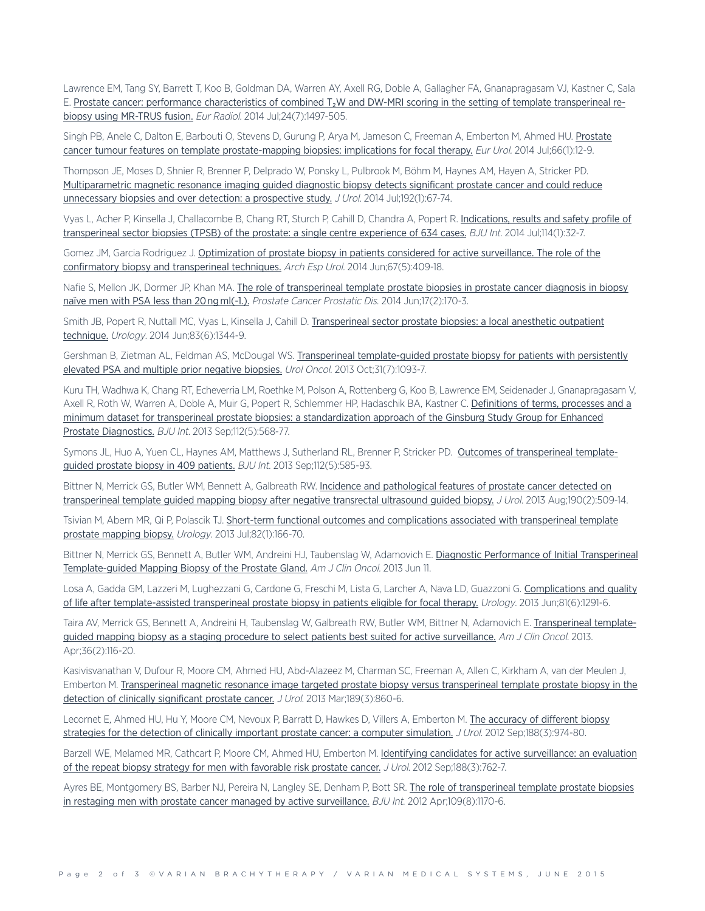Lawrence EM, Tang SY, Barrett T, Koo B, Goldman DA, Warren AY, Axell RG, Doble A, Gallagher FA, Gnanapragasam VJ, Kastner C, Sala E. Prostate cancer: performance [characteristics](http://www.ncbi.nlm.nih.gov/pubmed/24744197) of combined T₂W and DW-MRI scoring in the setting of template transperineal rebiopsy using [MR-TRUS](http://www.ncbi.nlm.nih.gov/pubmed/24744197) fusion. Eur Radiol. 2014 Jul;24(7):1497-505.

Singh PB, Anele C, Dalton E, Barbouti O, Stevens D, Gurung P, Arya M, Jameson C, Freeman A, Emberton M, Ahmed HU. [Prostate](http://www.ncbi.nlm.nih.gov/pubmed/24207133) cancer tumour features on template [prostate-mapping](http://www.ncbi.nlm.nih.gov/pubmed/24207133) biopsies: implications for focal therapy. Eur Urol. 2014 Jul;66(1):12-9.

Thompson JE, Moses D, Shnier R, Brenner P, Delprado W, Ponsky L, Pulbrook M, Böhm M, Haynes AM, Hayen A, Stricker PD. [Multiparametric](http://www.ncbi.nlm.nih.gov/pubmed/24518762) magnetic resonance imaging guided diagnostic biopsy detects significant prostate cancer and could reduce [unnecessary](http://www.ncbi.nlm.nih.gov/pubmed/24518762) biopsies and over detection: a prospective study. J Urol. 2014 Jul;192(1):67-74.

Vyas L, Acher P, Kinsella J, Challacombe B, Chang RT, Sturch P, Cahill D, Chandra A, Popert R. [Indications,](http://www.ncbi.nlm.nih.gov/pubmed/24053629) results and safety profile of [transperineal](http://www.ncbi.nlm.nih.gov/pubmed/24053629) sector biopsies (TPSB) of the prostate: a single centre experience of 634 cases. BJU Int. 2014 Jul;114(1):32-7.

Gomez JM, Garcia Rodriguez J. [Optimization](http://www.ncbi.nlm.nih.gov/pubmed/24914840) of prostate biopsy in patients considered for active surveillance. The role of the confirmatory biopsy and [transperineal](http://www.ncbi.nlm.nih.gov/pubmed/24914840) techniques. Arch Esp Urol. 2014 Jun;67(5):409-18.

Nafie S, Mellon JK, Dormer JP, Khan MA. The role of [transperineal](http://www.ncbi.nlm.nih.gov/pubmed/24590360) template prostate biopsies in prostate cancer diagnosis in biopsy naïve men with PSA less than 20 ng ml(-1.). Prostate Cancer Prostatic Dis. 2014 Jun;17(2):170-3.

Smith JB, Popert R, Nuttall MC, Vyas L, Kinsella J, Cahill D. [Transperineal](http://www.ncbi.nlm.nih.gov/pubmed/24726315) sector prostate biopsies: a local anesthetic outpatient [technique.](http://www.ncbi.nlm.nih.gov/pubmed/24726315) *Urology.* 2014 Jun;83(6):1344-9.

Gershman B, Zietman AL, Feldman AS, McDougal WS. Transperineal [template-guided](http://www.ncbi.nlm.nih.gov/pubmed/22305626) prostate biopsy for patients with persistently elevated PSA and multiple prior negative [biopsies.](http://www.ncbi.nlm.nih.gov/pubmed/22305626) Urol Oncol. 2013 Oct;31(7):1093-7.

Kuru TH, Wadhwa K, Chang RT, Echeverria LM, Roethke M, Polson A, Rottenberg G, Koo B, Lawrence EM, Seidenader J, Gnanapragasam V, Axell R, Roth W, Warren A, Doble A, Muir G, Popert R, Schlemmer HP, Hadaschik BA, Kastner C. [Definitions](ttp://www.ncbi.nlm.nih.gov/pubmed/23773772) of terms, processes and a minimum dataset for transperineal prostate biopsies: a [standardization](ttp://www.ncbi.nlm.nih.gov/pubmed/23773772) approach of the Ginsburg Study Group for Enhanced Prostate [Diagnostics.](ttp://www.ncbi.nlm.nih.gov/pubmed/23773772) BJU Int. 2013 Sep;112(5):568-77.

Symons JL, Huo A, Yuen CL, Haynes AM, Matthews J, Sutherland RL, Brenner P, Stricker PD. Outcomes of [transperineal](http://www.ncbi.nlm.nih.gov/pubmed/23551500) templateguided prostate biopsy in 409 [patients.](http://www.ncbi.nlm.nih.gov/pubmed/23551500) BJU Int. 2013 Sep;112(5):585-93.

Bittner N, Merrick GS, Butler WM, Bennett A, Galbreath RW. Incidence and [pathological](http://www.ncbi.nlm.nih.gov/pubmed/23416641) features of prostate cancer detected on [transperineal](http://www.ncbi.nlm.nih.gov/pubmed/23416641) template guided mapping biopsy after negative transrectal ultrasound guided biopsy. J Urol. 2013 Aug;190(2):509-14.

Tsivian M, Abern MR, Qi P, Polascik TJ. Short-term functional outcomes and [complications](http://www.ncbi.nlm.nih.gov/pubmed/23697794) associated with transperineal template prostate [mapping](http://www.ncbi.nlm.nih.gov/pubmed/23697794) biopsy. Urology. 2013 Jul;82(1):166-70.

Bittner N, Merrick GS, Bennett A, Butler WM, Andreini HJ, Taubenslag W, Adamovich E. Diagnostic Performance of Initial [Transperineal](http://www.ncbi.nlm.nih.gov/pubmed/23764680) [Template-guided](http://www.ncbi.nlm.nih.gov/pubmed/23764680) Mapping Biopsy of the Prostate Gland. Am J Clin Oncol. 2013 Jun 11.

Losa A, Gadda GM, Lazzeri M, Lughezzani G, Cardone G, Freschi M, Lista G, Larcher A, Nava LD, Guazzoni G. [Complications](http://www.ncbi.nlm.nih.gov/pubmed/23522299) and quality of life after [template-assisted](http://www.ncbi.nlm.nih.gov/pubmed/23522299) transperineal prostate biopsy in patients eligible for focal therapy. Urology. 2013 Jun;81(6):1291-6.

Taira AV, Merrick GS, Bennett A, Andreini H, Taubenslag W, Galbreath RW, Butler WM, Bittner N, Adamovich E. [Transperineal](http://www.ncbi.nlm.nih.gov/pubmed/22307210) templateguided mapping biopsy as a staging procedure to select patients best suited for active [surveillance.](http://www.ncbi.nlm.nih.gov/pubmed/22307210) Am J Clin Oncol. 2013. Apr;36(2):116-20.

Kasivisvanathan V, Dufour R, Moore CM, Ahmed HU, Abd-Alazeez M, Charman SC, Freeman A, Allen C, Kirkham A, van der Meulen J, Emberton M. [Transperineal](http://www.ncbi.nlm.nih.gov/pubmed/23063807) magnetic resonance image targeted prostate biopsy versus transperineal template prostate biopsy in the detection of clinically [significant](http://www.ncbi.nlm.nih.gov/pubmed/23063807) prostate cancer. J Urol. 2013 Mar;189(3):860-6.

Lecornet E, Ahmed HU, Hu Y, Moore CM, Nevoux P, Barratt D, Hawkes D, Villers A, Emberton M. The [accuracy](http://www.ncbi.nlm.nih.gov/pubmed/22819118) of different biopsy strategies for the detection of clinically important prostate cancer: a computer [simulation.](http://www.ncbi.nlm.nih.gov/pubmed/22819118) J Urol. 2012 Sep;188(3):974-80.

Barzell WE, Melamed MR, Cathcart P, Moore CM, Ahmed HU, Emberton M. Identifying candidates for active [surveillance:](http://www.ncbi.nlm.nih.gov/pubmed/22818143) an evaluation of the repeat biopsy strategy for men with [favorable](http://www.ncbi.nlm.nih.gov/pubmed/22818143) risk prostate cancer. J Urol. 2012 Sep:188(3):762-7.

Ayres BE, Montgomery BS, Barber NJ, Pereira N, Langley SE, Denham P, Bott SR. The role of [transperineal](http://www.ncbi.nlm.nih.gov/pubmed/21854535) template prostate biopsies in restaging men with prostate cancer managed by active [surveillance.](http://www.ncbi.nlm.nih.gov/pubmed/21854535) BJU Int. 2012 Apr;109(8):1170-6.